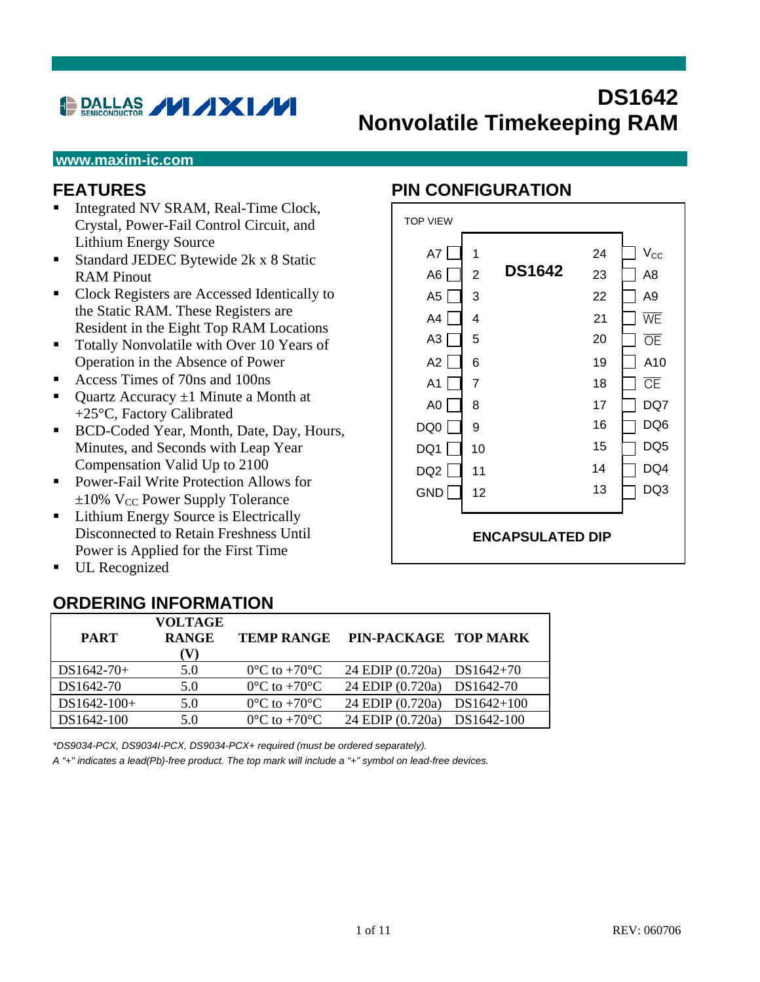# **DALLAS MMXI/M**

# **DS1642 Nonvolatile Timekeeping RAM**

#### **www.maxim-ic.com**

#### **FEATURES**

- Integrated NV SRAM, Real-Time Clock, Crystal, Power-Fail Control Circuit, and Lithium Energy Source
- Standard JEDEC Bytewide 2k x 8 Static RAM Pinout
- Clock Registers are Accessed Identically to the Static RAM. These Registers are Resident in the Eight Top RAM Locations
- Totally Nonvolatile with Over 10 Years of Operation in the Absence of Power
- Access Times of 70ns and 100ns
- $\blacksquare$  Quartz Accuracy  $\pm 1$  Minute a Month at +25°C, Factory Calibrated
- BCD-Coded Year, Month, Date, Day, Hours, Minutes, and Seconds with Leap Year Compensation Valid Up to 2100
- Power-Fail Write Protection Allows for  $\pm 10\%$  V<sub>CC</sub> Power Supply Tolerance
- **Lithium Energy Source is Electrically** Disconnected to Retain Freshness Until Power is Applied for the First Time
- **UL Recognized**

#### **ORDERING INFORMATION**

| <b>PART</b>  | VOLTAGE<br><b>RANGE</b><br>(V) | <b>TEMP RANGE</b>                 | PIN-PACKAGE TOP MARK        |  |
|--------------|--------------------------------|-----------------------------------|-----------------------------|--|
| $DS1642-70+$ | 5.0                            | $0^{\circ}$ C to +70 $^{\circ}$ C | 24 EDIP (0.720a) DS1642+70  |  |
| DS1642-70    | 5.0                            | $0^{\circ}$ C to +70 $^{\circ}$ C | 24 EDIP (0.720a) DS1642-70  |  |
| DS1642-100+  | 5.0                            | $0^{\circ}$ C to +70 $^{\circ}$ C | 24 EDIP (0.720a) DS1642+100 |  |
| DS1642-100   | 5.0                            | $0^{\circ}$ C to +70 $^{\circ}$ C | 24 EDIP (0.720a) DS1642-100 |  |

*\*DS9034-PCX, DS9034I-PCX, DS9034-PCX+ required (must be ordered separately).* 

*A "+" indicates a lead(Pb)-free product. The top mark will include a "+" symbol on lead-free devices.* 

#### **PIN CONFIGURATION**

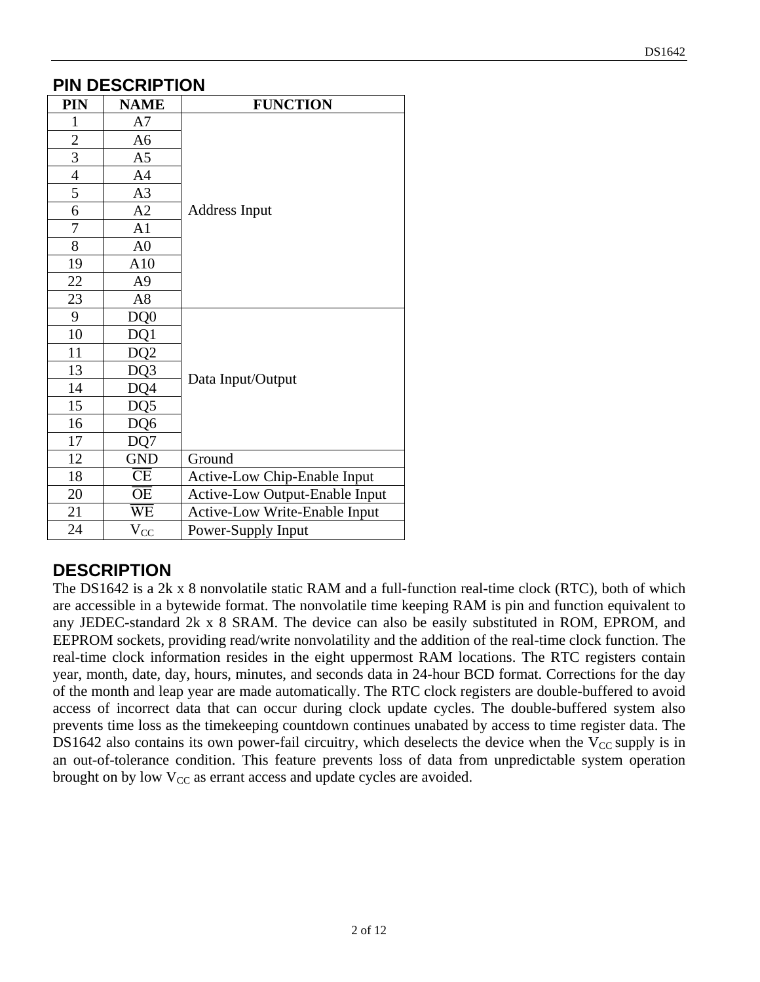#### **PIN DESCRIPTION**

| <b>PIN</b>              | <b>NAME</b>            | <b>FUNCTION</b>                       |
|-------------------------|------------------------|---------------------------------------|
| 1                       | A7                     |                                       |
| $\overline{\mathbf{c}}$ | A6                     |                                       |
| $\overline{3}$          | A <sub>5</sub>         |                                       |
| $\overline{4}$          | A <sub>4</sub>         |                                       |
| 5                       | A <sub>3</sub>         |                                       |
| 6                       | A2                     | <b>Address Input</b>                  |
| $\overline{7}$          | A1                     |                                       |
| 8                       | A <sub>0</sub>         |                                       |
| 19                      | A10                    |                                       |
| 22                      | A <sub>9</sub>         |                                       |
| 23                      | A8                     |                                       |
| 9                       | DQ0                    |                                       |
| 10                      | DQ1                    |                                       |
| 11                      | DQ <sub>2</sub>        |                                       |
| 13                      | DQ3                    | Data Input/Output                     |
| 14                      | DQ4                    |                                       |
| 15                      | DQ5                    |                                       |
| 16                      | DQ6                    |                                       |
| 17                      | DQ7                    |                                       |
| 12                      | GND                    | Ground                                |
| 18                      | $\overline{\text{CE}}$ | Active-Low Chip-Enable Input          |
| 20                      | $\overline{OE}$        | <b>Active-Low Output-Enable Input</b> |
| 21                      | $\overline{\text{WE}}$ | <b>Active-Low Write-Enable Input</b>  |
| 24                      | $V_{CC}$               | Power-Supply Input                    |

#### **DESCRIPTION**

The DS1642 is a 2k x 8 nonvolatile static RAM and a full-function real-time clock (RTC), both of which are accessible in a bytewide format. The nonvolatile time keeping RAM is pin and function equivalent to any JEDEC-standard 2k x 8 SRAM. The device can also be easily substituted in ROM, EPROM, and EEPROM sockets, providing read/write nonvolatility and the addition of the real-time clock function. The real-time clock information resides in the eight uppermost RAM locations. The RTC registers contain year, month, date, day, hours, minutes, and seconds data in 24-hour BCD format. Corrections for the day of the month and leap year are made automatically. The RTC clock registers are double-buffered to avoid access of incorrect data that can occur during clock update cycles. The double-buffered system also prevents time loss as the timekeeping countdown continues unabated by access to time register data. The DS1642 also contains its own power-fail circuitry, which deselects the device when the  $V_{CC}$  supply is in an out-of-tolerance condition. This feature prevents loss of data from unpredictable system operation brought on by low  $V_{CC}$  as errant access and update cycles are avoided.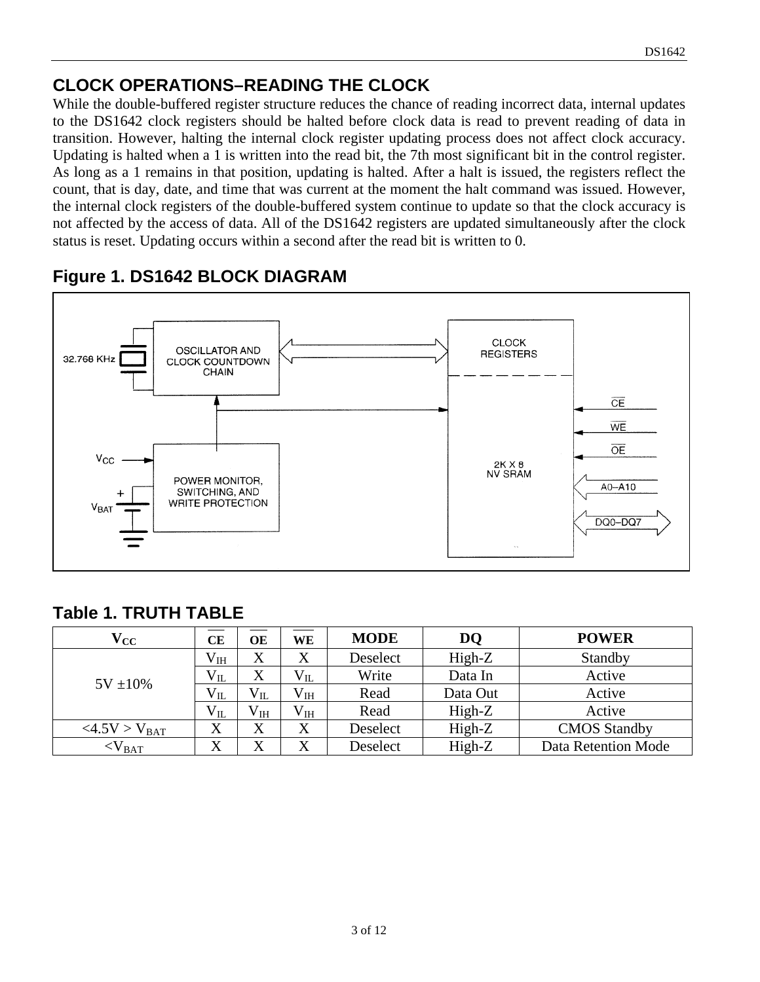### **CLOCK OPERATIONS–READING THE CLOCK**

While the double-buffered register structure reduces the chance of reading incorrect data, internal updates to the DS1642 clock registers should be halted before clock data is read to prevent reading of data in transition. However, halting the internal clock register updating process does not affect clock accuracy. Updating is halted when a 1 is written into the read bit, the 7th most significant bit in the control register. As long as a 1 remains in that position, updating is halted. After a halt is issued, the registers reflect the count, that is day, date, and time that was current at the moment the halt command was issued. However, the internal clock registers of the double-buffered system continue to update so that the clock accuracy is not affected by the access of data. All of the DS1642 registers are updated simultaneously after the clock status is reset. Updating occurs within a second after the read bit is written to 0.



### **Figure 1. DS1642 BLOCK DIAGRAM**

#### **Table 1. TRUTH TABLE**

| $\mathbf{V_{CC}}$      | CЕ               | ОE                | WE           | <b>MODE</b> | D <sub>O</sub> | <b>POWER</b>        |
|------------------------|------------------|-------------------|--------------|-------------|----------------|---------------------|
|                        | V <sub>IH</sub>  | X                 |              | Deselect    | $High-Z$       | Standby             |
| $5V \pm 10\%$          | $V_{IL}$         | X                 | $V_{IL}$     | Write       | Data In        | Active              |
|                        | $V_{IL}$         | $V_{IL}$          | $\rm V_{IH}$ | Read        | Data Out       | Active              |
|                        | $V_{IL}$         | $\rm V_{IH}$      | $\rm V_{IH}$ | Read        | High-Z         | Active              |
| <4.5V>V <sub>BAT</sub> | X                | $\rm X$           | Х            | Deselect    | $High-Z$       | <b>CMOS</b> Standby |
| $<$ V <sub>BAT</sub>   | $\mathbf v$<br>Δ | $\rm\overline{X}$ | X            | Deselect    | High-Z         | Data Retention Mode |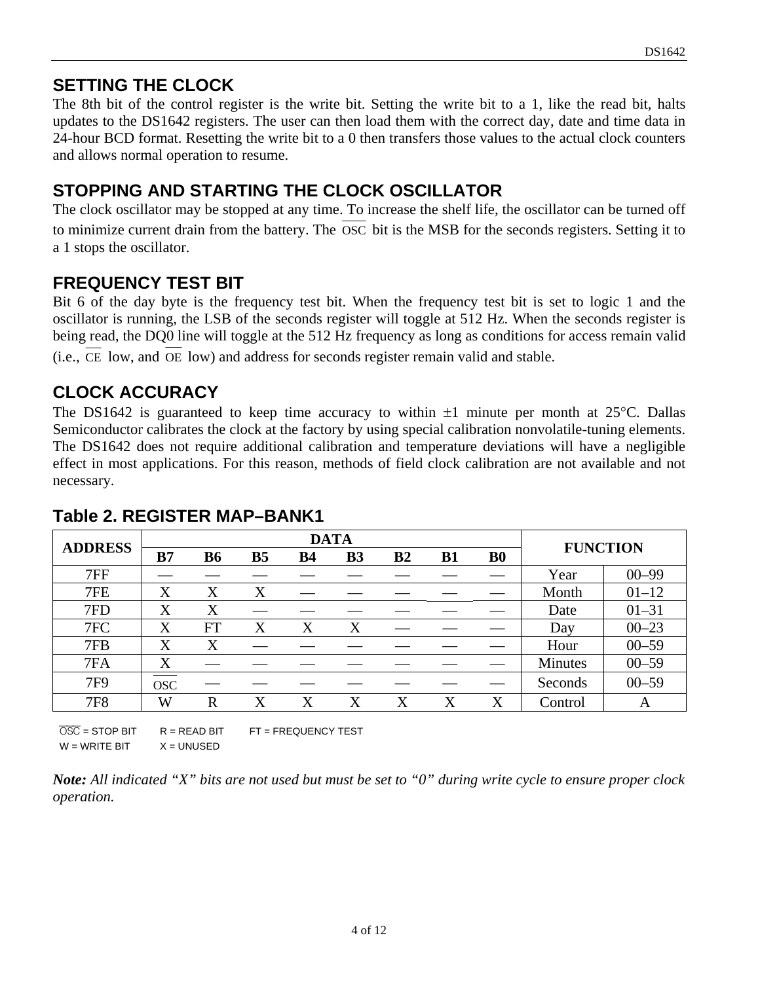#### **SETTING THE CLOCK**

The 8th bit of the control register is the write bit. Setting the write bit to a 1, like the read bit, halts updates to the DS1642 registers. The user can then load them with the correct day, date and time data in 24-hour BCD format. Resetting the write bit to a 0 then transfers those values to the actual clock counters and allows normal operation to resume.

### **STOPPING AND STARTING THE CLOCK OSCILLATOR**

The clock oscillator may be stopped at any time. To increase the shelf life, the oscillator can be turned off to minimize current drain from the battery. The OSC bit is the MSB for the seconds registers. Setting it to a 1 stops the oscillator.

#### **FREQUENCY TEST BIT**

Bit 6 of the day byte is the frequency test bit. When the frequency test bit is set to logic 1 and the oscillator is running, the LSB of the seconds register will toggle at 512 Hz. When the seconds register is being read, the DQ0 line will toggle at the 512 Hz frequency as long as conditions for access remain valid

(i.e., CE low, and OE low) and address for seconds register remain valid and stable.

#### **CLOCK ACCURACY**

The DS1642 is guaranteed to keep time accuracy to within  $\pm 1$  minute per month at 25 °C. Dallas Semiconductor calibrates the clock at the factory by using special calibration nonvolatile-tuning elements. The DS1642 does not require additional calibration and temperature deviations will have a negligible effect in most applications. For this reason, methods of field clock calibration are not available and not necessary.

| <b>ADDRESS</b> |            |             |                | <b>FUNCTION</b>   |           |                |    |                       |                |           |
|----------------|------------|-------------|----------------|-------------------|-----------|----------------|----|-----------------------|----------------|-----------|
|                | B7         | <b>B6</b>   | B <sub>5</sub> | <b>B4</b>         | <b>B3</b> | B <sub>2</sub> | B1 | <b>B</b> <sub>0</sub> |                |           |
| 7FF            |            |             |                |                   |           |                |    |                       | Year           | $00 - 99$ |
| 7FE            | X          | X           | X              |                   |           |                |    |                       | Month          | $01 - 12$ |
| 7FD            | X          | X           |                |                   |           |                |    |                       | Date           | $01 - 31$ |
| 7FC            | X          | FT          | X              | $\rm\overline{X}$ | $\rm X$   |                |    |                       | Day            | $00 - 23$ |
| 7FB            | X          | X           |                |                   |           |                |    |                       | Hour           | $00 - 59$ |
| 7FA            | X          |             |                |                   |           |                |    |                       | <b>Minutes</b> | $00 - 59$ |
| 7F9            | <b>OSC</b> |             |                |                   |           |                |    |                       | Seconds        | $00 - 59$ |
| <b>7F8</b>     | W          | $\mathbf R$ | X              | X                 | $\rm X$   | X              | X  | X                     | Control        | A         |

### **Table 2. REGISTER MAP–BANK1**

 $\overline{OSC}$  = STOP BIT  $R$  = READ BIT FT = FREQUENCY TEST  $W = WR$ ITE BIT  $X = UNUSED$ 

*Note: All indicated "X" bits are not used but must be set to "0" during write cycle to ensure proper clock operation.*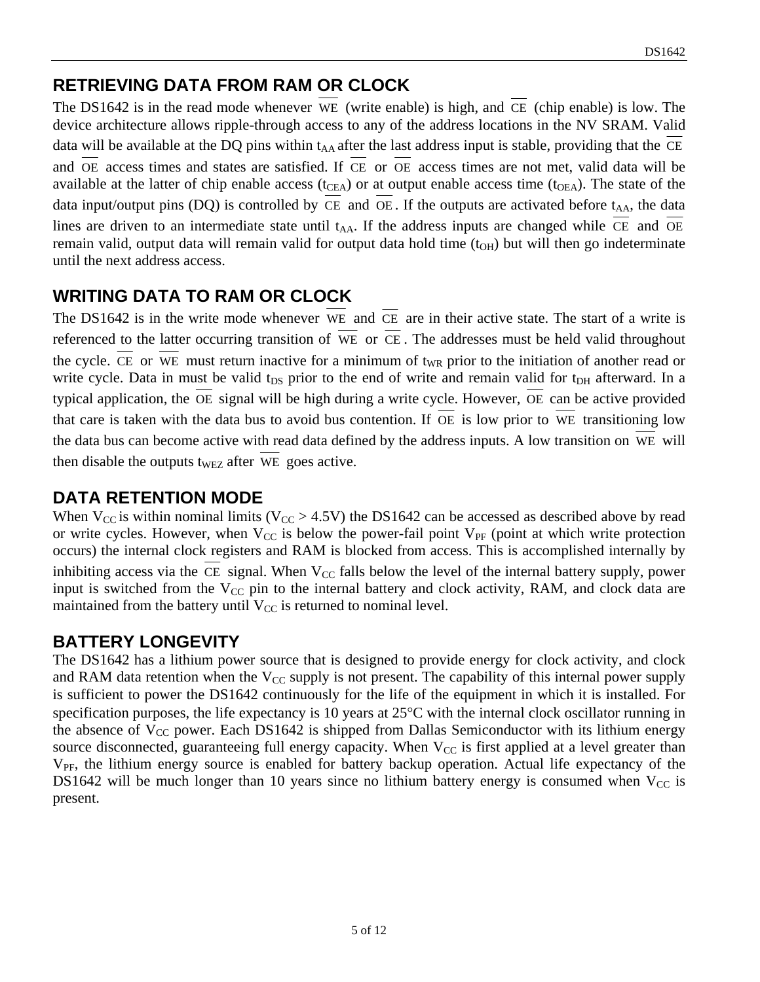### **RETRIEVING DATA FROM RAM OR CLOCK**

The DS1642 is in the read mode whenever WE (write enable) is high, and CE (chip enable) is low. The device architecture allows ripple-through access to any of the address locations in the NV SRAM. Valid data will be available at the DQ pins within  $t_{AA}$  after the last address input is stable, providing that the CE and OE access times and states are satisfied. If CE or OE access times are not met, valid data will be available at the latter of chip enable access ( $t_{CEA}$ ) or at output enable access time ( $t_{OEA}$ ). The state of the data input/output pins (DQ) is controlled by  $CE$  and  $OE$ . If the outputs are activated before  $t_{AA}$ , the data lines are driven to an intermediate state until  $t_{AA}$ . If the address inputs are changed while CE and OE remain valid, output data will remain valid for output data hold time  $(t<sub>OH</sub>)$  but will then go indeterminate until the next address access.

### **WRITING DATA TO RAM OR CLOCK**

The DS1642 is in the write mode whenever WE and CE are in their active state. The start of a write is referenced to the latter occurring transition of WE or CE . The addresses must be held valid throughout the cycle. CE or WE must return inactive for a minimum of t<sub>WR</sub> prior to the initiation of another read or write cycle. Data in must be valid t<sub>DS</sub> prior to the end of write and remain valid for t<sub>DH</sub> afterward. In a typical application, the OE signal will be high during a write cycle. However, OE can be active provided that care is taken with the data bus to avoid bus contention. If OE is low prior to WE transitioning low the data bus can become active with read data defined by the address inputs. A low transition on WE will then disable the outputs t<sub>WEZ</sub> after WE goes active.

#### **DATA RETENTION MODE**

When  $V_{CC}$  is within nominal limits ( $V_{CC} > 4.5V$ ) the DS1642 can be accessed as described above by read or write cycles. However, when  $V_{CC}$  is below the power-fail point  $V_{PF}$  (point at which write protection occurs) the internal clock registers and RAM is blocked from access. This is accomplished internally by inhibiting access via the CE signal. When  $V_{CC}$  falls below the level of the internal battery supply, power input is switched from the  $V_{CC}$  pin to the internal battery and clock activity, RAM, and clock data are maintained from the battery until  $V_{CC}$  is returned to nominal level.

#### **BATTERY LONGEVITY**

The DS1642 has a lithium power source that is designed to provide energy for clock activity, and clock and RAM data retention when the  $V_{CC}$  supply is not present. The capability of this internal power supply is sufficient to power the DS1642 continuously for the life of the equipment in which it is installed. For specification purposes, the life expectancy is 10 years at  $25^{\circ}$ C with the internal clock oscillator running in the absence of  $V_{CC}$  power. Each DS1642 is shipped from Dallas Semiconductor with its lithium energy source disconnected, guaranteeing full energy capacity. When  $V_{CC}$  is first applied at a level greater than  $V_{PF}$ , the lithium energy source is enabled for battery backup operation. Actual life expectancy of the DS1642 will be much longer than 10 years since no lithium battery energy is consumed when  $V_{CC}$  is present.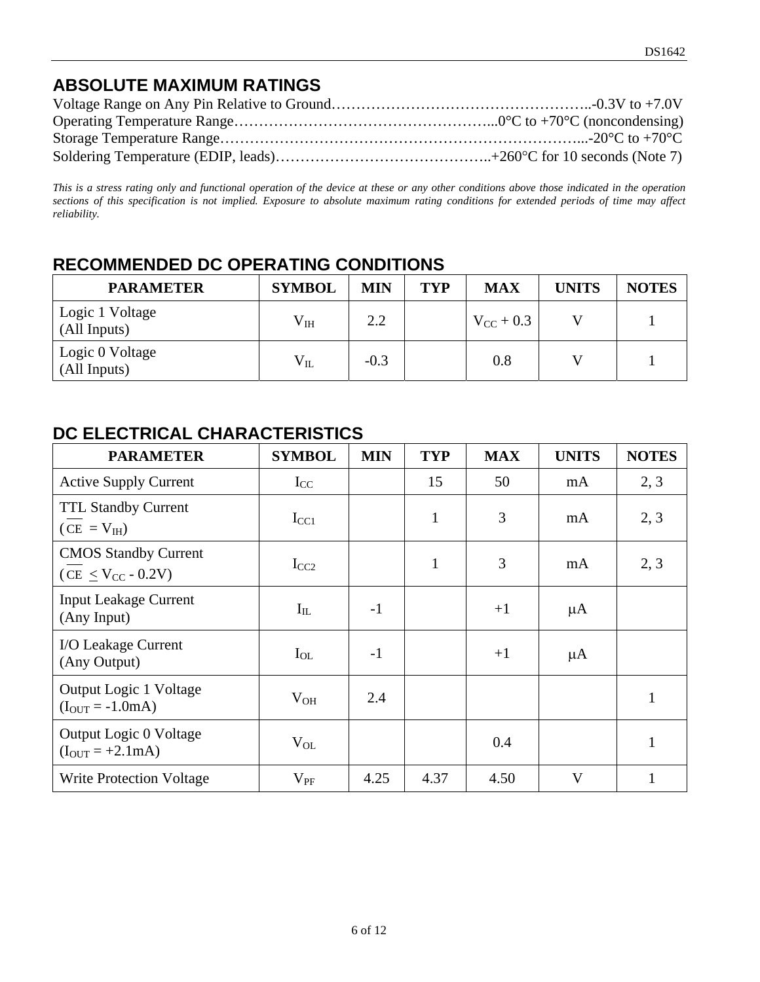### **ABSOLUTE MAXIMUM RATINGS**

*This is a stress rating only and functional operation of the device at these or any other conditions above those indicated in the operation sections of this specification is not implied. Exposure to absolute maximum rating conditions for extended periods of time may affect reliability.* 

#### **RECOMMENDED DC OPERATING CONDITIONS**

| <b>PARAMETER</b>                | <b>SYMBOL</b> | <b>MIN</b> | <b>TYP</b> | <b>MAX</b>     | <b>UNITS</b> | <b>NOTES</b> |
|---------------------------------|---------------|------------|------------|----------------|--------------|--------------|
| Logic 1 Voltage<br>(All Inputs) | $\rm V_{IH}$  | 2.2        |            | $V_{CC}$ + 0.3 |              |              |
| Logic 0 Voltage<br>(All Inputs) | $V_{IL}$      | $-0.3$     |            | 0.8            |              |              |

#### **DC ELECTRICAL CHARACTERISTICS**

| <b>PARAMETER</b>                                      | <b>SYMBOL</b> | <b>MIN</b> | <b>TYP</b>   | <b>MAX</b> | <b>UNITS</b> | <b>NOTES</b> |
|-------------------------------------------------------|---------------|------------|--------------|------------|--------------|--------------|
| <b>Active Supply Current</b>                          | $I_{CC}$      |            | 15           | 50         | mA           | 2, 3         |
| <b>TTL Standby Current</b><br>$(CE = V_{IH})$         | $I_{CC1}$     |            | $\mathbf{1}$ | 3          | mA           | 2, 3         |
| <b>CMOS Standby Current</b><br>$(CE < V_{CC} - 0.2V)$ | $I_{CC2}$     |            | $\mathbf{1}$ | 3          | mA           | 2, 3         |
| <b>Input Leakage Current</b><br>(Any Input)           | $I_{IL}$      | $-1$       |              | $+1$       | $\mu A$      |              |
| I/O Leakage Current<br>(Any Output)                   | $I_{OL}$      | $-1$       |              | $+1$       | μA           |              |
| Output Logic 1 Voltage<br>$(I_{OUT} = -1.0mA)$        | $V_{OH}$      | 2.4        |              |            |              | $\mathbf{1}$ |
| Output Logic 0 Voltage<br>$(I_{OUT} = +2.1 mA)$       | $V_{OL}$      |            |              | 0.4        |              | 1            |
| <b>Write Protection Voltage</b>                       | $\rm V_{PF}$  | 4.25       | 4.37         | 4.50       | $\mathbf{V}$ |              |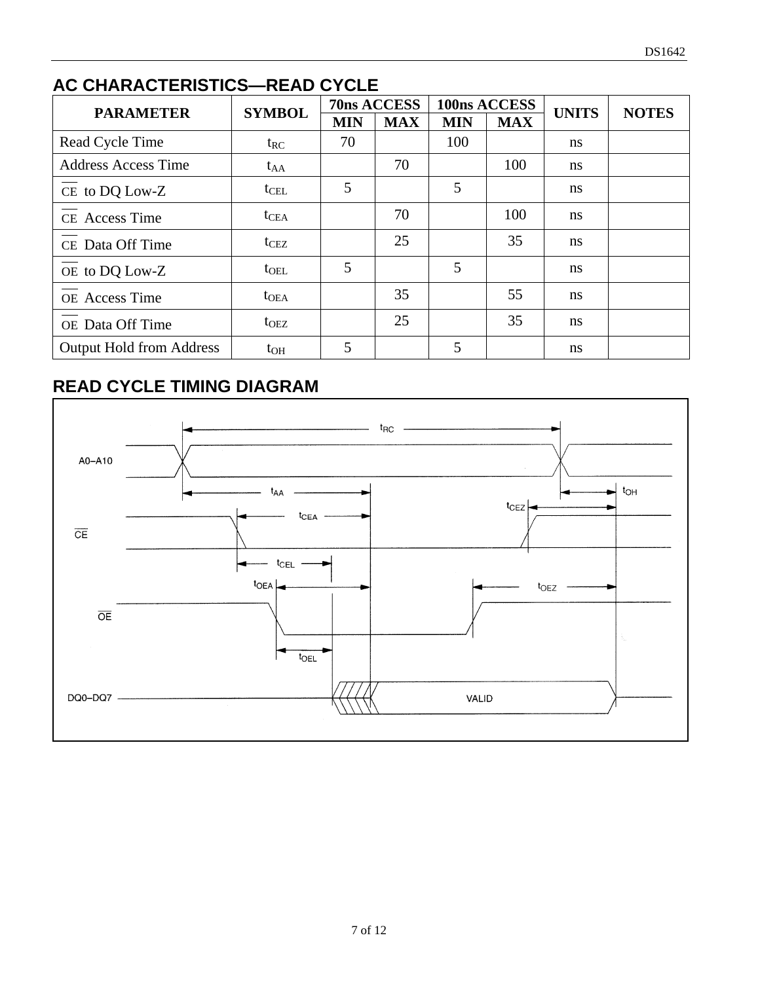## **AC CHARACTERISTICS—READ CYCLE**

| <b>PARAMETER</b>                | <b>SYMBOL</b>    | <b>70ns ACCESS</b> |            |            | 100ns ACCESS | <b>UNITS</b>  | <b>NOTES</b> |
|---------------------------------|------------------|--------------------|------------|------------|--------------|---------------|--------------|
|                                 |                  | <b>MIN</b>         | <b>MAX</b> | <b>MIN</b> | <b>MAX</b>   |               |              |
| Read Cycle Time                 | $t_{RC}$         | 70                 |            | 100        |              | <sub>ns</sub> |              |
| <b>Address Access Time</b>      | $t_{AA}$         |                    | 70         |            | 100          | <sub>ns</sub> |              |
| CE to DQ Low-Z                  | $t_{\text{CEL}}$ | 5                  |            | 5          |              | ns            |              |
| CE Access Time                  | $t_{\text{CEA}}$ |                    | 70         |            | 100          | <sub>ns</sub> |              |
| CE Data Off Time                | t <sub>CEZ</sub> |                    | 25         |            | 35           | ns            |              |
| OE to DQ Low-Z                  | $t_{\text{OEL}}$ | 5                  |            | 5          |              | ns            |              |
| OE Access Time                  | t <sub>OEA</sub> |                    | 35         |            | 55           | <sub>ns</sub> |              |
| OE Data Off Time                | t <sub>OEZ</sub> |                    | 25         |            | 35           | ns            |              |
| <b>Output Hold from Address</b> | $t_{OH}$         | 5                  |            | 5          |              | ns            |              |

## **READ CYCLE TIMING DIAGRAM**

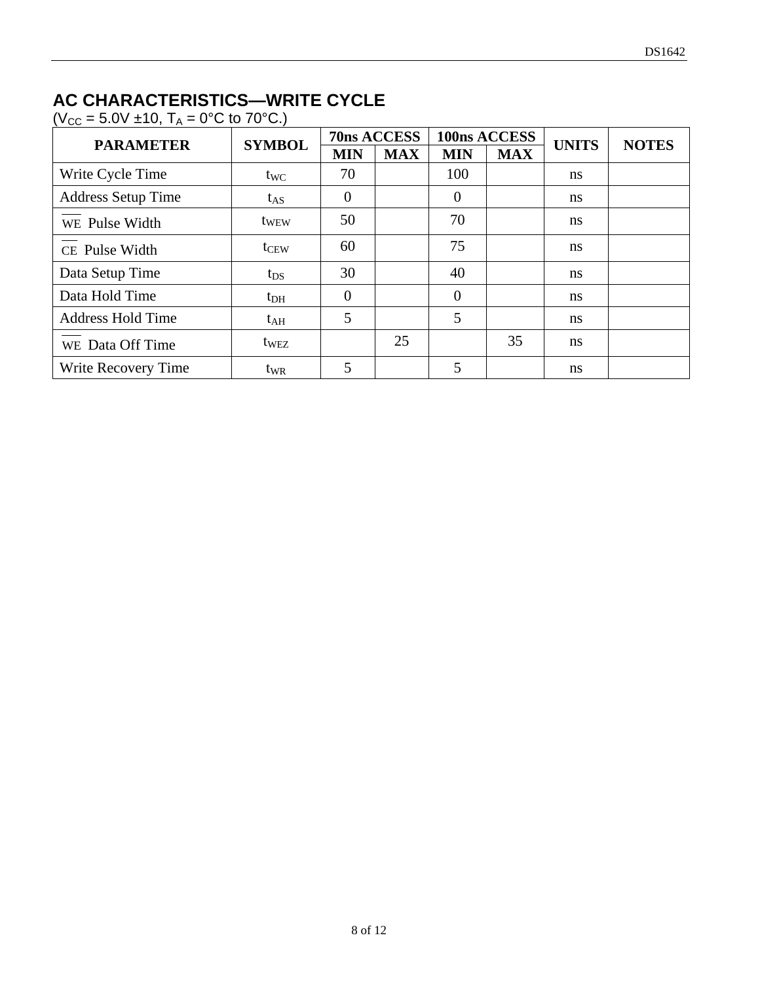## **AC CHARACTERISTICS—WRITE CYCLE**

 $(V_{CC} = 5.0V \pm 10, T_A = 0^{\circ}C$  to 70 °C.)

| <b>PARAMETER</b>          | <b>SYMBOL</b>    | <b>70ns ACCESS</b> |            |                | 100ns ACCESS | <b>UNITS</b>  | <b>NOTES</b> |
|---------------------------|------------------|--------------------|------------|----------------|--------------|---------------|--------------|
|                           |                  | <b>MIN</b>         | <b>MAX</b> | <b>MIN</b>     | <b>MAX</b>   |               |              |
| Write Cycle Time          | $t_{\text{WC}}$  | 70                 |            | 100            |              | ns            |              |
| <b>Address Setup Time</b> | $t_{AS}$         | $\overline{0}$     |            | $\overline{0}$ |              | ns            |              |
| WE Pulse Width            | twew             | 50                 |            | 70             |              | ns            |              |
| CE Pulse Width            | $t_{CEW}$        | 60                 |            | 75             |              | <sub>ns</sub> |              |
| Data Setup Time           | $t_{DS}$         | 30                 |            | 40             |              | ns            |              |
| Data Hold Time            | $t_{DH}$         | $\overline{0}$     |            | $\overline{0}$ |              | ns            |              |
| <b>Address Hold Time</b>  | $t_{\rm AH}$     | 5                  |            | 5              |              | ns            |              |
| WE Data Off Time          | $t_{\text{WEZ}}$ |                    | 25         |                | 35           | <sub>ns</sub> |              |
| Write Recovery Time       | $t_{WR}$         | 5                  |            | 5              |              | ns            |              |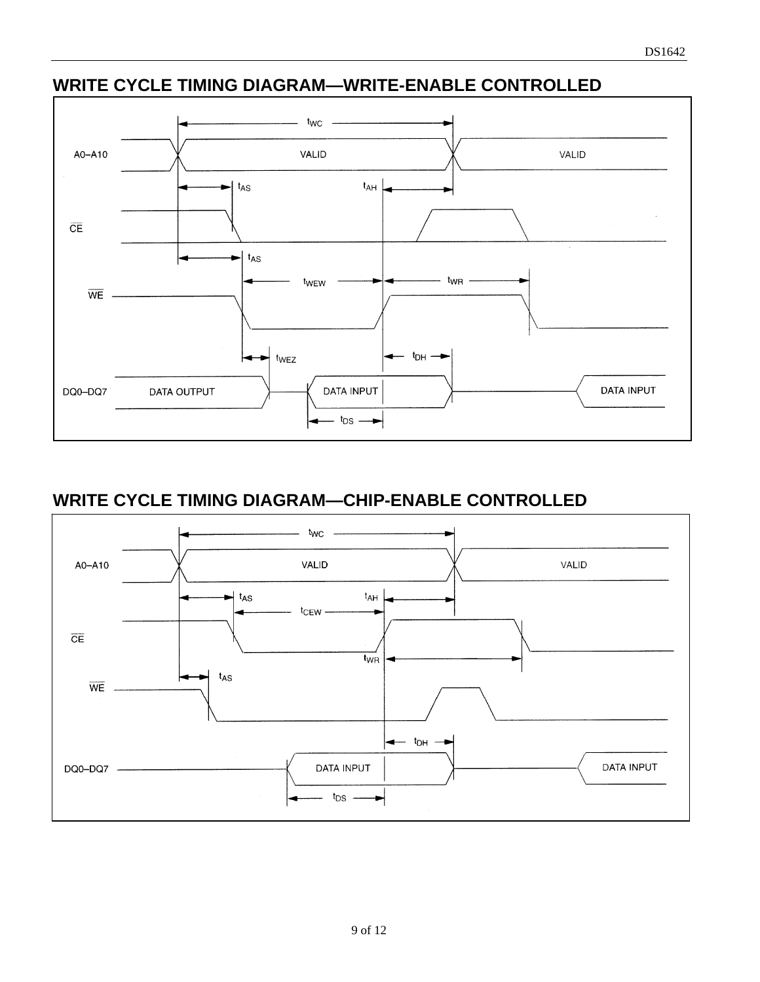### **WRITE CYCLE TIMING DIAGRAM—WRITE-ENABLE CONTROLLED**



### **WRITE CYCLE TIMING DIAGRAM—CHIP-ENABLE CONTROLLED**

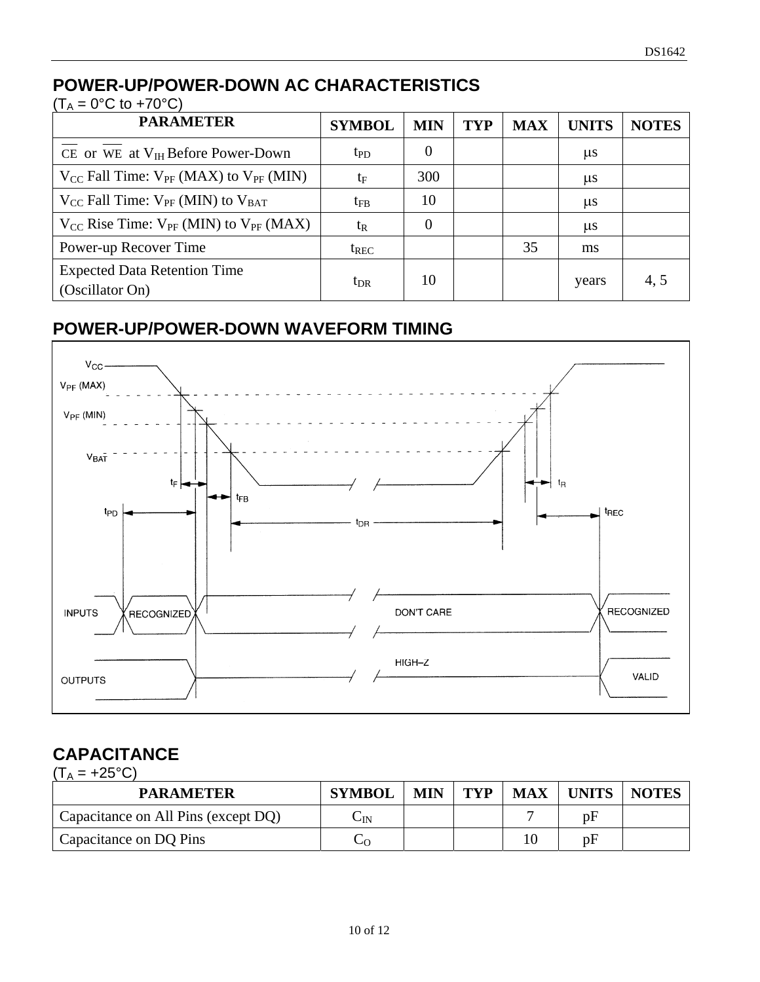### **POWER-UP/POWER-DOWN AC CHARACTERISTICS**

 $(T_A = 0$ °C to +70°C)

| <b>PARAMETER</b>                                       | <b>SYMBOL</b> | <b>MIN</b> | <b>TYP</b> | <b>MAX</b> | <b>UNITS</b> | <b>NOTES</b> |
|--------------------------------------------------------|---------------|------------|------------|------------|--------------|--------------|
| CE or WE at $V_{IH}$ Before Power-Down                 | $t_{\rm PD}$  | $\theta$   |            |            | $\mu$ s      |              |
| $V_{CC}$ Fall Time: $V_{PF}$ (MAX) to $V_{PF}$ (MIN)   | tF            | 300        |            |            | $\mu$ s      |              |
| $V_{CC}$ Fall Time: $V_{PF}$ (MIN) to $V_{BAT}$        | $t_{FB}$      | 10         |            |            | $\mu$ s      |              |
| $V_{CC}$ Rise Time: $V_{PF}$ (MIN) to $V_{PF}$ (MAX)   | $t_{R}$       | $\Omega$   |            |            | $\mu$ s      |              |
| Power-up Recover Time                                  | $t_{REC}$     |            |            | 35         | ms           |              |
| <b>Expected Data Retention Time</b><br>(Oscillator On) | $t_{\rm DR}$  | 10         |            |            | years        | 4,5          |

### **POWER-UP/POWER-DOWN WAVEFORM TIMING**



#### **CAPACITANCE**  $(T_A = +25^{\circ}C)$

| $(1A - 12C)$<br><b>PARAMETER</b>    | <b>SYMBOL</b> | <b>MIN</b> | <b>TYP</b> | <b>MAX</b> | <b>UNITS</b> | <b>NOTES</b> |
|-------------------------------------|---------------|------------|------------|------------|--------------|--------------|
| Capacitance on All Pins (except DQ) | $\cup$ IN     |            |            |            | рŀ           |              |
| Capacitance on DQ Pins              | UC.           |            |            |            | pΕ           |              |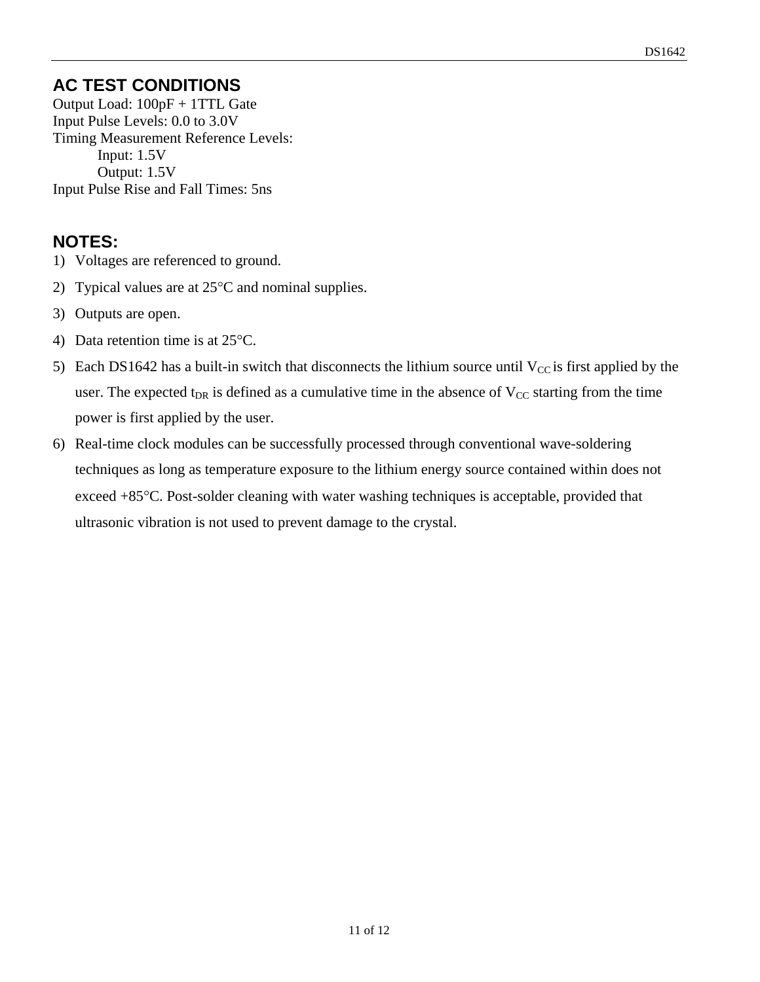### **AC TEST CONDITIONS**

Output Load: 100pF + 1TTL Gate Input Pulse Levels: 0.0 to 3.0V Timing Measurement Reference Levels: Input: 1.5V Output: 1.5V Input Pulse Rise and Fall Times: 5ns

#### **NOTES:**

- 1) Voltages are referenced to ground.
- 2) Typical values are at  $25^{\circ}$ C and nominal supplies.
- 3) Outputs are open.
- 4) Data retention time is at  $25^{\circ}$ C.
- 5) Each DS1642 has a built-in switch that disconnects the lithium source until  $V_{CC}$  is first applied by the user. The expected t<sub>DR</sub> is defined as a cumulative time in the absence of  $V_{CC}$  starting from the time power is first applied by the user.
- 6) Real-time clock modules can be successfully processed through conventional wave-soldering techniques as long as temperature exposure to the lithium energy source contained within does not exceed +85 °C. Post-solder cleaning with water washing techniques is acceptable, provided that ultrasonic vibration is not used to prevent damage to the crystal.